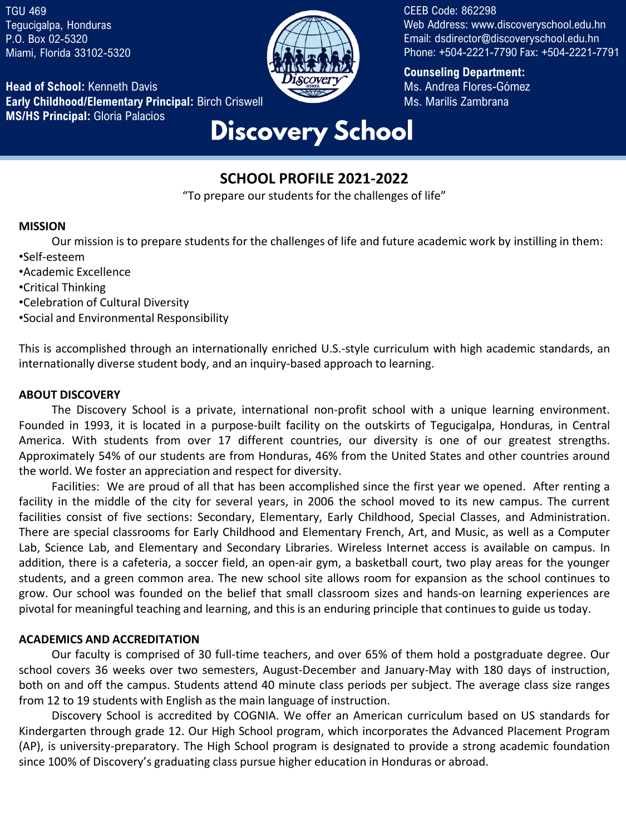TGU 469 Tegucigalpa, Honduras P.O. Box 02-5320 Miami, Florida 33102-5320

**Head of School:** Kenneth Davis **Early Childhood/Elementary Principal:** Birch Criswell **MS/HS Principal:** Gloria Palacios **Discovery School** 



CEEB Code: 862298 Web Address: www.discoveryschool.edu.hn Email: dsdirector@discoveryschool.edu.hn Phone: +504-2221-7790 Fax: +504-2221-7791

**Counseling Department:**  Ms. Andrea Flores-Gómez Ms. Marilís Zambrana

# **SCHOOL PROFILE 2021-2022**

"To prepare our students for the challenges of life"

#### **MISSION**

Our mission is to prepare students for the challenges of life and future academic work by instilling in them: •Self-esteem

- •Academic Excellence
- •Critical Thinking
- •Celebration of Cultural Diversity
- •Social and Environmental Responsibility

This is accomplished through an internationally enriched U.S.-style curriculum with high academic standards, an internationally diverse student body, and an inquiry-based approach to learning.

#### **ABOUT DISCOVERY**

The Discovery School is a private, international non-profit school with a unique learning environment. Founded in 1993, it is located in a purpose-built facility on the outskirts of Tegucigalpa, Honduras, in Central America. With students from over 17 different countries, our diversity is one of our greatest strengths. Approximately 54% of our students are from Honduras, 46% from the United States and other countries around the world. We foster an appreciation and respect for diversity.

Facilities: We are proud of all that has been accomplished since the first year we opened. After renting a facility in the middle of the city for several years, in 2006 the school moved to its new campus. The current facilities consist of five sections: Secondary, Elementary, Early Childhood, Special Classes, and Administration. There are special classrooms for Early Childhood and Elementary French, Art, and Music, as well as a Computer Lab, Science Lab, and Elementary and Secondary Libraries. Wireless Internet access is available on campus. In addition, there is a cafeteria, a soccer field, an open-air gym, a basketball court, two play areas for the younger students, and a green common area. The new school site allows room for expansion as the school continues to grow. Our school was founded on the belief that small classroom sizes and hands-on learning experiences are pivotal for meaningful teaching and learning, and this is an enduring principle that continuesto guide us today.

#### **ACADEMICS AND ACCREDITATION**

Our faculty is comprised of 30 full-time teachers, and over 65% of them hold a postgraduate degree. Our school covers 36 weeks over two semesters, August-December and January-May with 180 days of instruction, both on and off the campus. Students attend 40 minute class periods per subject. The average class size ranges from 12 to 19 students with English as the main language of instruction.

Discovery School is accredited by COGNIA. We offer an American curriculum based on US standards for Kindergarten through grade 12. Our High School program, which incorporates the Advanced Placement Program (AP), is university-preparatory. The High School program is designated to provide a strong academic foundation since 100% of Discovery's graduating class pursue higher education in Honduras or abroad.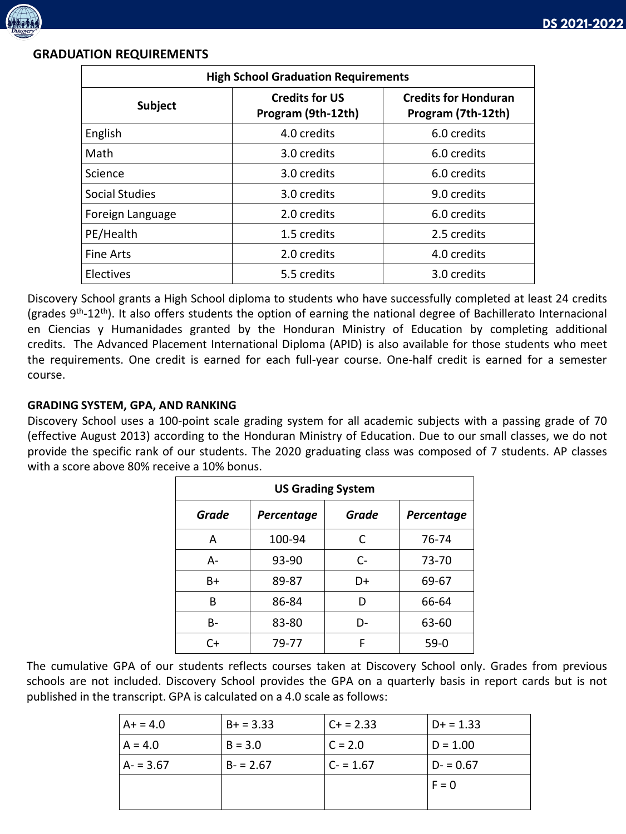

## **GRADUATION REQUIREMENTS**

| <b>High School Graduation Requirements</b> |                                             |                                                   |  |
|--------------------------------------------|---------------------------------------------|---------------------------------------------------|--|
| <b>Subject</b>                             | <b>Credits for US</b><br>Program (9th-12th) | <b>Credits for Honduran</b><br>Program (7th-12th) |  |
| English                                    | 4.0 credits                                 | 6.0 credits                                       |  |
| Math                                       | 3.0 credits                                 | 6.0 credits                                       |  |
| Science                                    | 3.0 credits                                 | 6.0 credits                                       |  |
| Social Studies                             | 3.0 credits                                 | 9.0 credits                                       |  |
| Foreign Language                           | 2.0 credits                                 | 6.0 credits                                       |  |
| PE/Health                                  | 1.5 credits                                 | 2.5 credits                                       |  |
| <b>Fine Arts</b>                           | 2.0 credits                                 | 4.0 credits                                       |  |
| Electives                                  | 5.5 credits                                 | 3.0 credits                                       |  |

Discovery School grants a High School diploma to students who have successfully completed at least 24 credits (grades 9<sup>th</sup>-12<sup>th</sup>). It also offers students the option of earning the national degree of Bachillerato Internacional en Ciencias y Humanidades granted by the Honduran Ministry of Education by completing additional credits. The Advanced Placement International Diploma (APID) is also available for those students who meet the requirements. One credit is earned for each full-year course. One-half credit is earned for a semester course.

# **GRADING SYSTEM, GPA, AND RANKING**

Discovery School uses a 100-point scale grading system for all academic subjects with a passing grade of 70 (effective August 2013) according to the Honduran Ministry of Education. Due to our small classes, we do not provide the specific rank of our students. The 2020 graduating class was composed of 7 students. AP classes with a score above 80% receive a 10% bonus.

| <b>US Grading System</b> |            |       |            |  |  |
|--------------------------|------------|-------|------------|--|--|
| Grade                    | Percentage | Grade | Percentage |  |  |
| Α                        | 100-94     | C     | 76-74      |  |  |
| А-                       | 93-90      | $C-$  | 73-70      |  |  |
| B+                       | 89-87      | D+    | 69-67      |  |  |
| В                        | 86-84      | D     | 66-64      |  |  |
| B-                       | 83-80      | D-    | 63-60      |  |  |
| C+                       | 79-77      | F     | $59-0$     |  |  |

The cumulative GPA of our students reflects courses taken at Discovery School only. Grades from previous schools are not included. Discovery School provides the GPA on a quarterly basis in report cards but is not published in the transcript. GPA is calculated on a 4.0 scale as follows:

| $A+ = 4.0$ | $B+ = 3.33$ | $C + 2.33$ | $D+ = 1.33$ |
|------------|-------------|------------|-------------|
| $A = 4.0$  | $B = 3.0$   | $C = 2.0$  | $D = 1.00$  |
| $A - 3.67$ | $B - 2.67$  | $C = 1.67$ | $D - 0.67$  |
|            |             |            | $F = 0$     |
|            |             |            |             |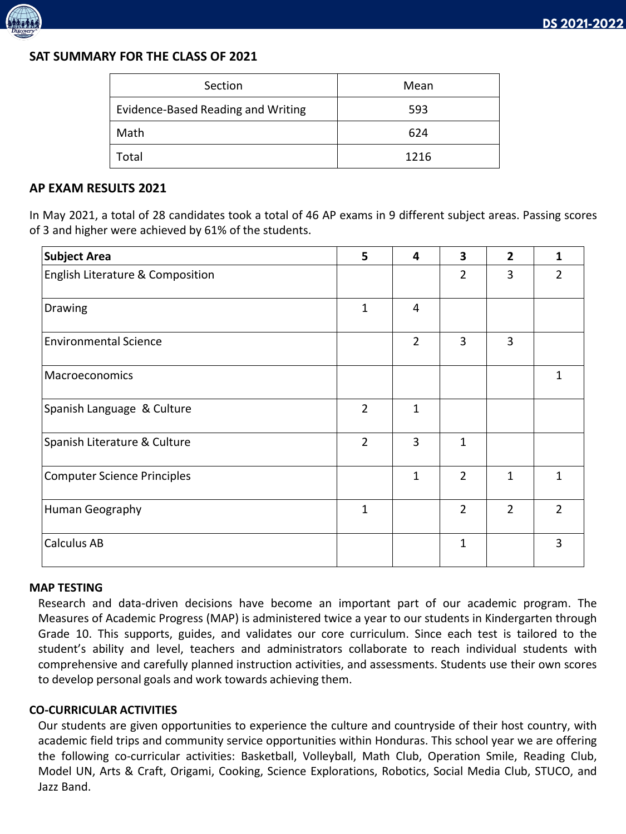

## **SAT SUMMARY FOR THE CLASS OF 2021**

| Section                            | Mean |
|------------------------------------|------|
| Evidence-Based Reading and Writing | 593  |
| Math                               | 624  |
| Total                              | 1216 |

#### **AP EXAM RESULTS 2021**

In May 2021, a total of 28 candidates took a total of 46 AP exams in 9 different subject areas. Passing scores of 3 and higher were achieved by 61% of the students.

| <b>Subject Area</b>                | 5              | 4            | 3              | $\overline{2}$ | 1             |
|------------------------------------|----------------|--------------|----------------|----------------|---------------|
| English Literature & Composition   |                |              | $\overline{2}$ | 3              | $\mathcal{P}$ |
| Drawing                            | $\mathbf{1}$   | 4            |                |                |               |
| <b>Environmental Science</b>       |                | 2            | 3              | 3              |               |
| Macroeconomics                     |                |              |                |                | 1             |
| Spanish Language & Culture         | $\overline{2}$ | $\mathbf{1}$ |                |                |               |
| Spanish Literature & Culture       | $\overline{2}$ | 3            | $\mathbf{1}$   |                |               |
| <b>Computer Science Principles</b> |                | $\mathbf{1}$ | $\overline{2}$ | 1              | 1             |
| Human Geography                    | $\mathbf 1$    |              | $\overline{2}$ | $\overline{2}$ | $\mathcal{P}$ |
| <b>Calculus AB</b>                 |                |              | 1              |                | 3             |

#### **MAP TESTING**

Research and data-driven decisions have become an important part of our academic program. The Measures of Academic Progress (MAP) is administered twice a year to our students in Kindergarten through Grade 10. This supports, guides, and validates our core curriculum. Since each test is tailored to the student's ability and level, teachers and administrators collaborate to reach individual students with comprehensive and carefully planned instruction activities, and assessments. Students use their own scores to develop personal goals and work towards achieving them.

#### **CO-CURRICULAR ACTIVITIES**

Our students are given opportunities to experience the culture and countryside of their host country, with academic field trips and community service opportunities within Honduras. This school year we are offering the following co-curricular activities: Basketball, Volleyball, Math Club, Operation Smile, Reading Club, Model UN, Arts & Craft, Origami, Cooking, Science Explorations, Robotics, Social Media Club, STUCO, and Jazz Band.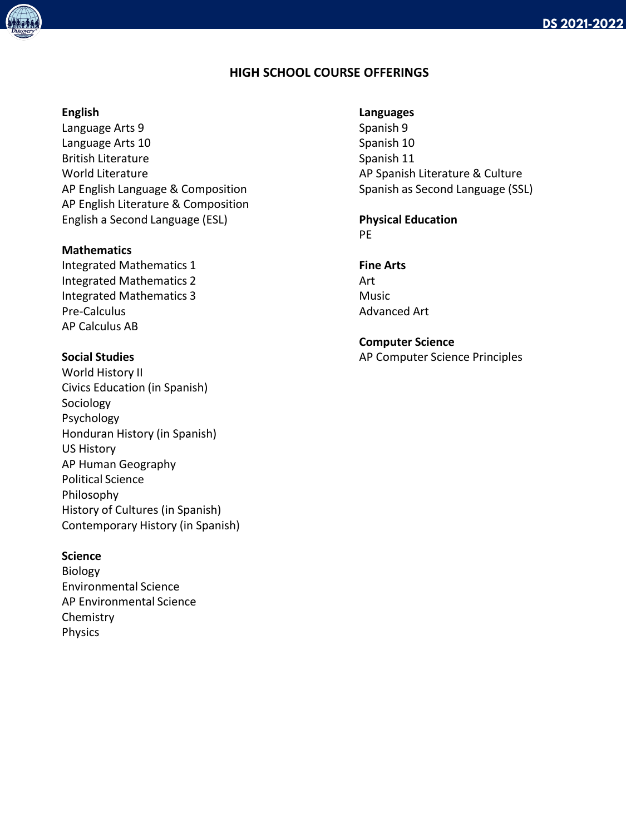# **HIGH SCHOOL COURSE OFFERINGS**

#### **English**

Language Arts 9 Language Arts 10 British Literature World Literature AP English Language & Composition AP English Literature & Composition English a Second Language (ESL)

#### **Mathematics**

Integrated Mathematics 1 Integrated Mathematics 2 Integrated Mathematics 3 Pre-Calculus AP Calculus AB

### **Social Studies**

World History II Civics Education (in Spanish) Sociology Psychology Honduran History (in Spanish) US History AP Human Geography Political Science Philosophy History of Cultures (in Spanish) Contemporary History (in Spanish)

#### **Science**

Biology Environmental Science AP Environmental Science Chemistry Physics

#### **Languages**

Spanish 9 Spanish 10 Spanish 11 AP Spanish Literature & Culture Spanish as Second Language (SSL)

#### **Physical Education** PE

**Fine Arts**

Art Music Advanced Art

**Computer Science** AP Computer Science Principles